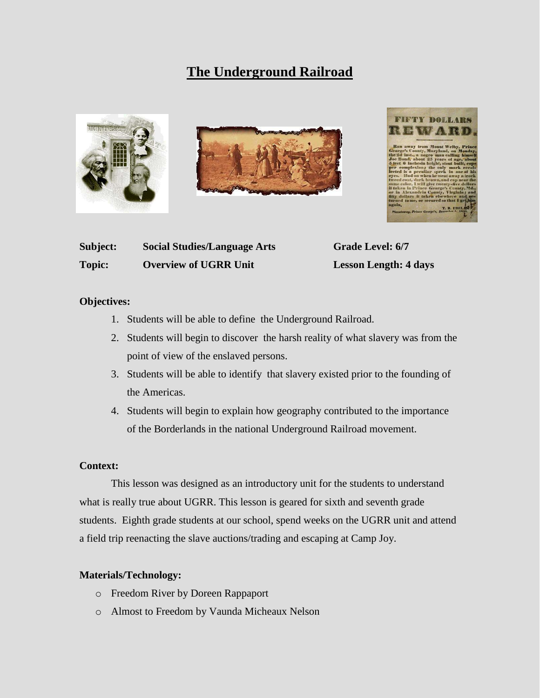# **The Underground Railroad**



| Subject:      | <b>Social Studies/Language Arts</b> | <b>Grade Level: 6/7</b>      |
|---------------|-------------------------------------|------------------------------|
| <b>Topic:</b> | <b>Overview of UGRR Unit</b>        | <b>Lesson Length: 4 days</b> |

#### **Objectives:**

- 1. Students will be able to define the Underground Railroad.
- 2. Students will begin to discover the harsh reality of what slavery was from the point of view of the enslaved persons.
- 3. Students will be able to identify that slavery existed prior to the founding of the Americas.
- 4. Students will begin to explain how geography contributed to the importance of the Borderlands in the national Underground Railroad movement.

#### **Context:**

This lesson was designed as an introductory unit for the students to understand what is really true about UGRR. This lesson is geared for sixth and seventh grade students. Eighth grade students at our school, spend weeks on the UGRR unit and attend a field trip reenacting the slave auctions/trading and escaping at Camp Joy.

#### **Materials/Technology:**

- o Freedom River by Doreen Rappaport
- o Almost to Freedom by Vaunda Micheaux Nelson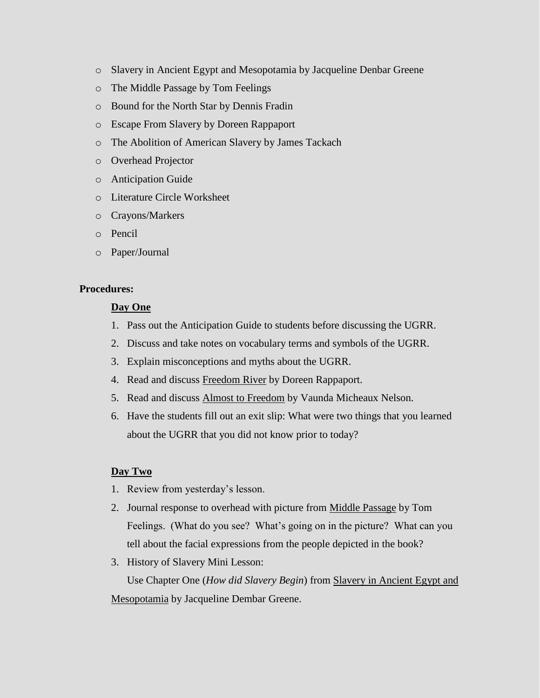- o Slavery in Ancient Egypt and Mesopotamia by Jacqueline Denbar Greene
- o The Middle Passage by Tom Feelings
- o Bound for the North Star by Dennis Fradin
- o Escape From Slavery by Doreen Rappaport
- o The Abolition of American Slavery by James Tackach
- o Overhead Projector
- o Anticipation Guide
- o Literature Circle Worksheet
- o Crayons/Markers
- o Pencil
- o Paper/Journal

### **Procedures:**

#### **Day One**

- 1. Pass out the Anticipation Guide to students before discussing the UGRR.
- 2. Discuss and take notes on vocabulary terms and symbols of the UGRR.
- 3. Explain misconceptions and myths about the UGRR.
- 4. Read and discuss Freedom River by Doreen Rappaport.
- 5. Read and discuss Almost to Freedom by Vaunda Micheaux Nelson.
- 6. Have the students fill out an exit slip: What were two things that you learned about the UGRR that you did not know prior to today?

### **Day Two**

- 1. Review from yesterday's lesson.
- 2. Journal response to overhead with picture from Middle Passage by Tom Feelings. (What do you see? What's going on in the picture? What can you tell about the facial expressions from the people depicted in the book?
- 3. History of Slavery Mini Lesson:

Use Chapter One (*How did Slavery Begin*) from Slavery in Ancient Egypt and Mesopotamia by Jacqueline Dembar Greene.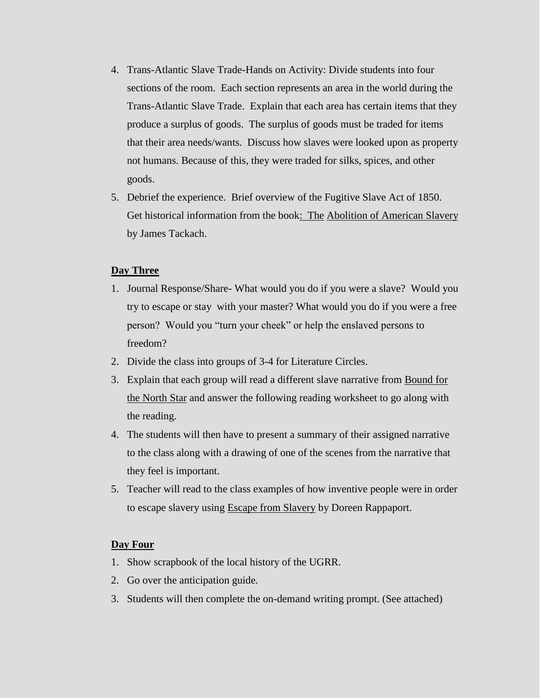- 4. Trans-Atlantic Slave Trade-Hands on Activity: Divide students into four sections of the room. Each section represents an area in the world during the Trans-Atlantic Slave Trade. Explain that each area has certain items that they produce a surplus of goods. The surplus of goods must be traded for items that their area needs/wants. Discuss how slaves were looked upon as property not humans. Because of this, they were traded for silks, spices, and other goods.
- 5. Debrief the experience. Brief overview of the Fugitive Slave Act of 1850. Get historical information from the book: The Abolition of American Slavery by James Tackach.

## **Day Three**

- 1. Journal Response/Share- What would you do if you were a slave? Would you try to escape or stay with your master? What would you do if you were a free person? Would you "turn your cheek" or help the enslaved persons to freedom?
- 2. Divide the class into groups of 3-4 for Literature Circles.
- 3. Explain that each group will read a different slave narrative from Bound for the North Star and answer the following reading worksheet to go along with the reading.
- 4. The students will then have to present a summary of their assigned narrative to the class along with a drawing of one of the scenes from the narrative that they feel is important.
- 5. Teacher will read to the class examples of how inventive people were in order to escape slavery using Escape from Slavery by Doreen Rappaport.

### **Day Four**

- 1. Show scrapbook of the local history of the UGRR.
- 2. Go over the anticipation guide.
- 3. Students will then complete the on-demand writing prompt. (See attached)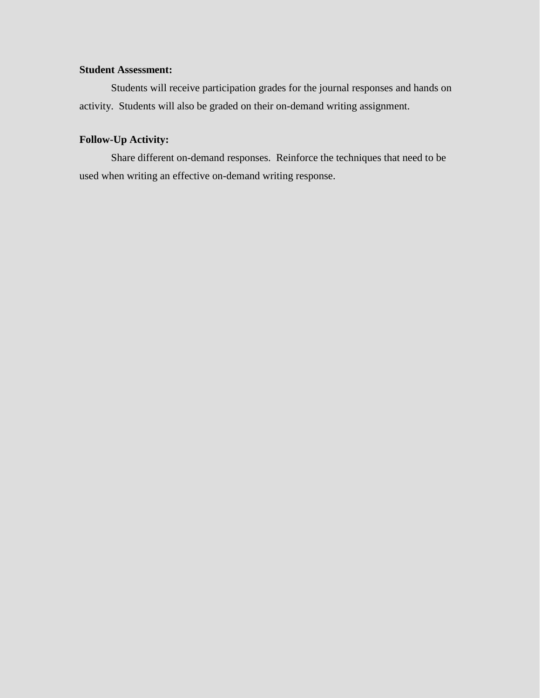## **Student Assessment:**

Students will receive participation grades for the journal responses and hands on activity. Students will also be graded on their on-demand writing assignment.

## **Follow-Up Activity:**

Share different on-demand responses. Reinforce the techniques that need to be used when writing an effective on-demand writing response.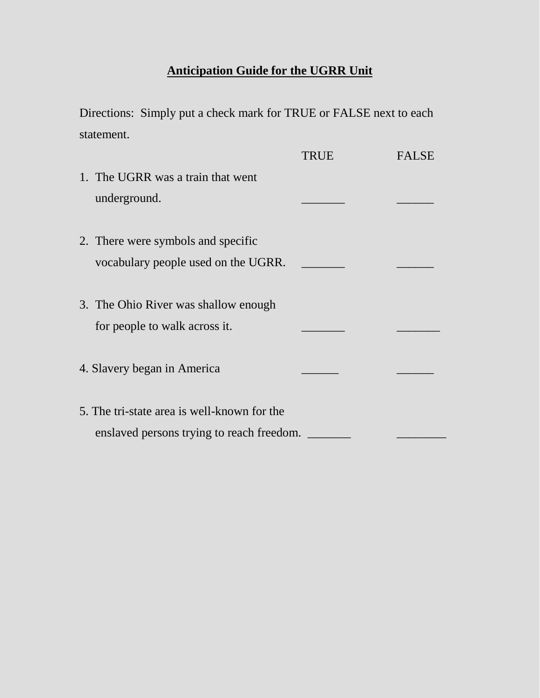# **Anticipation Guide for the UGRR Unit**

Directions: Simply put a check mark for TRUE or FALSE next to each statement.

|                                             | TRUE | <b>FALSE</b> |
|---------------------------------------------|------|--------------|
| 1. The UGRR was a train that went           |      |              |
| underground.                                |      |              |
|                                             |      |              |
| 2. There were symbols and specific          |      |              |
| vocabulary people used on the UGRR.         |      |              |
|                                             |      |              |
| 3. The Ohio River was shallow enough        |      |              |
| for people to walk across it.               |      |              |
|                                             |      |              |
| 4. Slavery began in America                 |      |              |
|                                             |      |              |
| 5. The tri-state area is well-known for the |      |              |
| enslaved persons trying to reach freedom.   |      |              |
|                                             |      |              |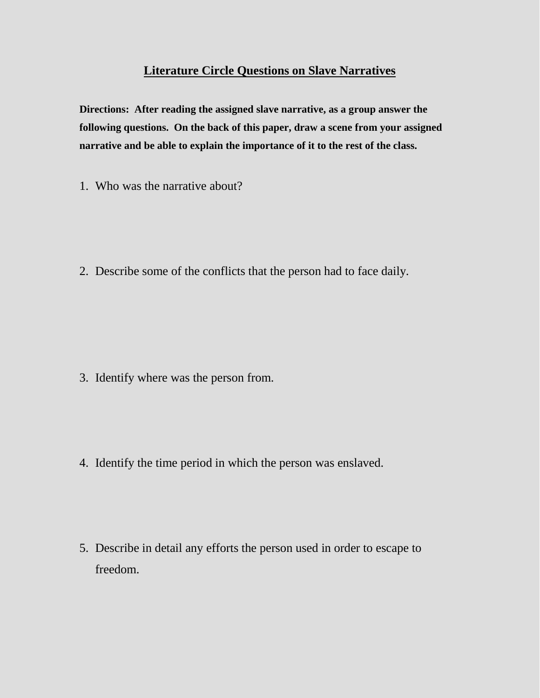# **Literature Circle Questions on Slave Narratives**

**Directions: After reading the assigned slave narrative, as a group answer the following questions. On the back of this paper, draw a scene from your assigned narrative and be able to explain the importance of it to the rest of the class.**

1. Who was the narrative about?

2. Describe some of the conflicts that the person had to face daily.

3. Identify where was the person from.

4. Identify the time period in which the person was enslaved.

5. Describe in detail any efforts the person used in order to escape to freedom.